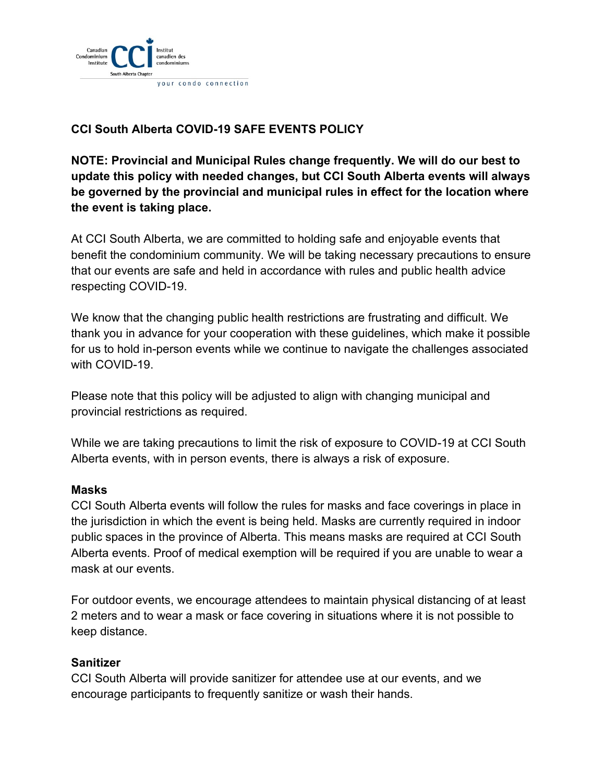

# **CCI South Alberta COVID-19 SAFE EVENTS POLICY**

**NOTE: Provincial and Municipal Rules change frequently. We will do our best to update this policy with needed changes, but CCI South Alberta events will always be governed by the provincial and municipal rules in effect for the location where the event is taking place.**

At CCI South Alberta, we are committed to holding safe and enjoyable events that benefit the condominium community. We will be taking necessary precautions to ensure that our events are safe and held in accordance with rules and public health advice respecting COVID-19.

We know that the changing public health restrictions are frustrating and difficult. We thank you in advance for your cooperation with these guidelines, which make it possible for us to hold in-person events while we continue to navigate the challenges associated with COVID-19

Please note that this policy will be adjusted to align with changing municipal and provincial restrictions as required.

While we are taking precautions to limit the risk of exposure to COVID-19 at CCI South Alberta events, with in person events, there is always a risk of exposure.

#### **Masks**

CCI South Alberta events will follow the rules for masks and face coverings in place in the jurisdiction in which the event is being held. Masks are currently required in indoor public spaces in the province of Alberta. This means masks are required at CCI South Alberta events. Proof of medical exemption will be required if you are unable to wear a mask at our events.

For outdoor events, we encourage attendees to maintain physical distancing of at least 2 meters and to wear a mask or face covering in situations where it is not possible to keep distance.

#### **Sanitizer**

CCI South Alberta will provide sanitizer for attendee use at our events, and we encourage participants to frequently sanitize or wash their hands.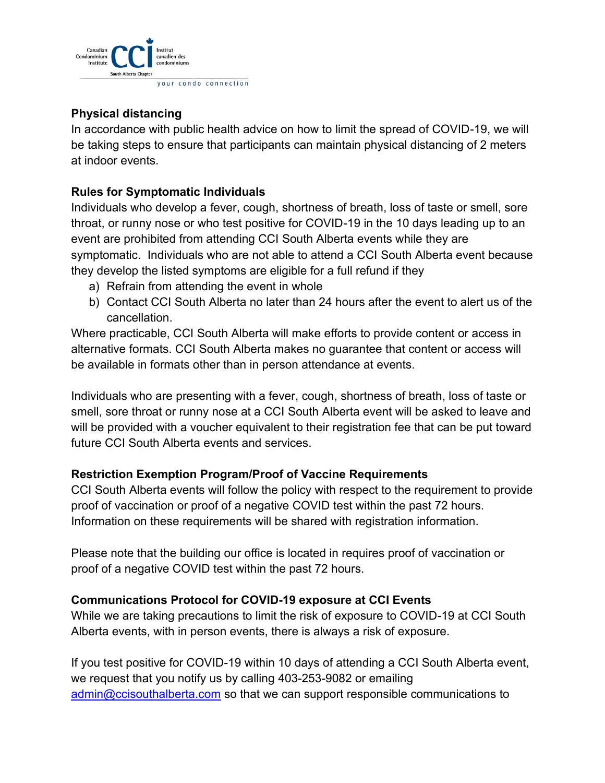

# **Physical distancing**

In accordance with public health advice on how to limit the spread of COVID-19, we will be taking steps to ensure that participants can maintain physical distancing of 2 meters at indoor events.

### **Rules for Symptomatic Individuals**

Individuals who develop a fever, cough, shortness of breath, loss of taste or smell, sore throat, or runny nose or who test positive for COVID-19 in the 10 days leading up to an event are prohibited from attending CCI South Alberta events while they are symptomatic. Individuals who are not able to attend a CCI South Alberta event because they develop the listed symptoms are eligible for a full refund if they

- a) Refrain from attending the event in whole
- b) Contact CCI South Alberta no later than 24 hours after the event to alert us of the cancellation.

Where practicable, CCI South Alberta will make efforts to provide content or access in alternative formats. CCI South Alberta makes no guarantee that content or access will be available in formats other than in person attendance at events.

Individuals who are presenting with a fever, cough, shortness of breath, loss of taste or smell, sore throat or runny nose at a CCI South Alberta event will be asked to leave and will be provided with a voucher equivalent to their registration fee that can be put toward future CCI South Alberta events and services.

### **Restriction Exemption Program/Proof of Vaccine Requirements**

CCI South Alberta events will follow the policy with respect to the requirement to provide proof of vaccination or proof of a negative COVID test within the past 72 hours. Information on these requirements will be shared with registration information.

Please note that the building our office is located in requires proof of vaccination or proof of a negative COVID test within the past 72 hours.

# **Communications Protocol for COVID-19 exposure at CCI Events**

While we are taking precautions to limit the risk of exposure to COVID-19 at CCI South Alberta events, with in person events, there is always a risk of exposure.

If you test positive for COVID-19 within 10 days of attending a CCI South Alberta event, we request that you notify us by calling 403-253-9082 or emailing [admin@ccisouthalberta.com](mailto:admin@ccisouthalberta.com) so that we can support responsible communications to